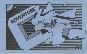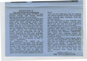## **ADVENTURE 'C'**

The Alien Space Ship Adventure. ADVENTURES are games in which you explore strange new worlds without leaving the comfort of your home.

The Computer will act as your puppet and control your senses. You instruct the computer with short phrases usually Verb Noun.If the computer does not understand then try to re-phase the command. When entering your command you may<br>use the RUBOUT key to erase any letters. In each location you may find objects which you can manipulate and use in further locations to help your progress. The game is written in machine code. The programme is saved with the name ADVENT' but it is simpler to load by Load " " command,

In Adventure 'C' while on reconnaissance flight, your ship has been drawn by a Graviton Beam onto an Alien Cruiser. Fred, your pet android, informs you that the cruiser is on a Humanoid slave mission, its aim to seek out Humanoid planets from which samples are taken and their brains replaced by microchips.

Your aim is to free your ship by pressing the control button in the main computer room. Sounds easy. However, there are various hazards.

As this adventure is very large, the programme also has Cassette routines with which you can load and save a game at any stage, to return to at a later date.

To save the game, you QUIT the game. The computer then asks, if you want to save<br>the game. If you reply 'Y' the computer will display the READY CASSETTE. Now start your cassette player on RECORD and hit any key. The game takes 2 seconds to save.

To play a previously stored game, When you run the programme you are asked if you wish to restore a previously stored game. If you answer 'Y' the computer again displays READY CASSETTE. You then cue up your tape; press play on your cassette and hit any key. The game will then continue from where you last left it

> GOOD LUCK I I I **1982 ARTIC COMPUTING**